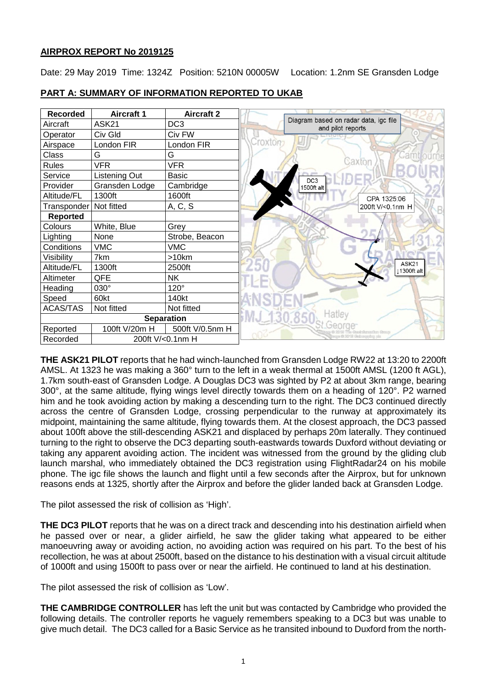# **AIRPROX REPORT No 2019125**

Date: 29 May 2019 Time: 1324Z Position: 5210N 00005W Location: 1.2nm SE Gransden Lodge



**PART A: SUMMARY OF INFORMATION REPORTED TO UKAB**

**THE ASK21 PILOT** reports that he had winch-launched from Gransden Lodge RW22 at 13:20 to 2200ft AMSL. At 1323 he was making a 360° turn to the left in a weak thermal at 1500ft AMSL (1200 ft AGL), 1.7km south-east of Gransden Lodge. A Douglas DC3 was sighted by P2 at about 3km range, bearing 300°, at the same altitude, flying wings level directly towards them on a heading of 120°. P2 warned him and he took avoiding action by making a descending turn to the right. The DC3 continued directly across the centre of Gransden Lodge, crossing perpendicular to the runway at approximately its midpoint, maintaining the same altitude, flying towards them. At the closest approach, the DC3 passed about 100ft above the still-descending ASK21 and displaced by perhaps 20m laterally. They continued turning to the right to observe the DC3 departing south-eastwards towards Duxford without deviating or taking any apparent avoiding action. The incident was witnessed from the ground by the gliding club launch marshal, who immediately obtained the DC3 registration using FlightRadar24 on his mobile phone. The igc file shows the launch and flight until a few seconds after the Airprox, but for unknown reasons ends at 1325, shortly after the Airprox and before the glider landed back at Gransden Lodge.

The pilot assessed the risk of collision as 'High'.

**THE DC3 PILOT** reports that he was on a direct track and descending into his destination airfield when he passed over or near, a glider airfield, he saw the glider taking what appeared to be either manoeuvring away or avoiding action, no avoiding action was required on his part. To the best of his recollection, he was at about 2500ft, based on the distance to his destination with a visual circuit altitude of 1000ft and using 1500ft to pass over or near the airfield. He continued to land at his destination.

The pilot assessed the risk of collision as 'Low'.

**THE CAMBRIDGE CONTROLLER** has left the unit but was contacted by Cambridge who provided the following details. The controller reports he vaguely remembers speaking to a DC3 but was unable to give much detail. The DC3 called for a Basic Service as he transited inbound to Duxford from the north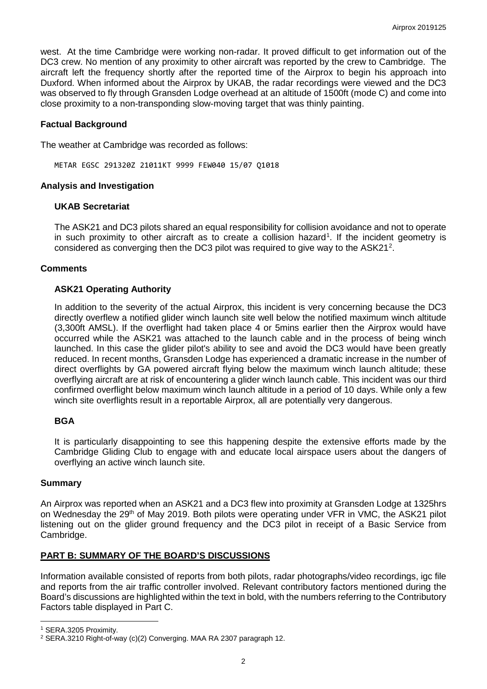west. At the time Cambridge were working non-radar. It proved difficult to get information out of the DC3 crew. No mention of any proximity to other aircraft was reported by the crew to Cambridge. The aircraft left the frequency shortly after the reported time of the Airprox to begin his approach into Duxford. When informed about the Airprox by UKAB, the radar recordings were viewed and the DC3 was observed to fly through Gransden Lodge overhead at an altitude of 1500ft (mode C) and come into close proximity to a non-transponding slow-moving target that was thinly painting.

# **Factual Background**

The weather at Cambridge was recorded as follows:

METAR EGSC 291320Z 21011KT 9999 FEW040 15/07 Q1018

## **Analysis and Investigation**

#### **UKAB Secretariat**

The ASK21 and DC3 pilots shared an equal responsibility for collision avoidance and not to operate in such proximity to other aircraft as to create a collision hazard<sup>[1](#page-1-0)</sup>. If the incident geometry is considered as converging then the DC3 pilot was required to give way to the ASK[2](#page-1-1)1<sup>2</sup>.

## **Comments**

## **ASK21 Operating Authority**

In addition to the severity of the actual Airprox, this incident is very concerning because the DC3 directly overflew a notified glider winch launch site well below the notified maximum winch altitude (3,300ft AMSL). If the overflight had taken place 4 or 5mins earlier then the Airprox would have occurred while the ASK21 was attached to the launch cable and in the process of being winch launched. In this case the glider pilot's ability to see and avoid the DC3 would have been greatly reduced. In recent months, Gransden Lodge has experienced a dramatic increase in the number of direct overflights by GA powered aircraft flying below the maximum winch launch altitude; these overflying aircraft are at risk of encountering a glider winch launch cable. This incident was our third confirmed overflight below maximum winch launch altitude in a period of 10 days. While only a few winch site overflights result in a reportable Airprox, all are potentially very dangerous.

## **BGA**

It is particularly disappointing to see this happening despite the extensive efforts made by the Cambridge Gliding Club to engage with and educate local airspace users about the dangers of overflying an active winch launch site.

## **Summary**

An Airprox was reported when an ASK21 and a DC3 flew into proximity at Gransden Lodge at 1325hrs on Wednesday the 29<sup>th</sup> of May 2019. Both pilots were operating under VFR in VMC, the ASK21 pilot listening out on the glider ground frequency and the DC3 pilot in receipt of a Basic Service from Cambridge.

## **PART B: SUMMARY OF THE BOARD'S DISCUSSIONS**

Information available consisted of reports from both pilots, radar photographs/video recordings, igc file and reports from the air traffic controller involved. Relevant contributory factors mentioned during the Board's discussions are highlighted within the text in bold, with the numbers referring to the Contributory Factors table displayed in Part C.

 $\overline{\phantom{a}}$ 

<span id="page-1-0"></span><sup>1</sup> SERA.3205 Proximity.

<span id="page-1-1"></span><sup>2</sup> SERA.3210 Right-of-way (c)(2) Converging. MAA RA 2307 paragraph 12.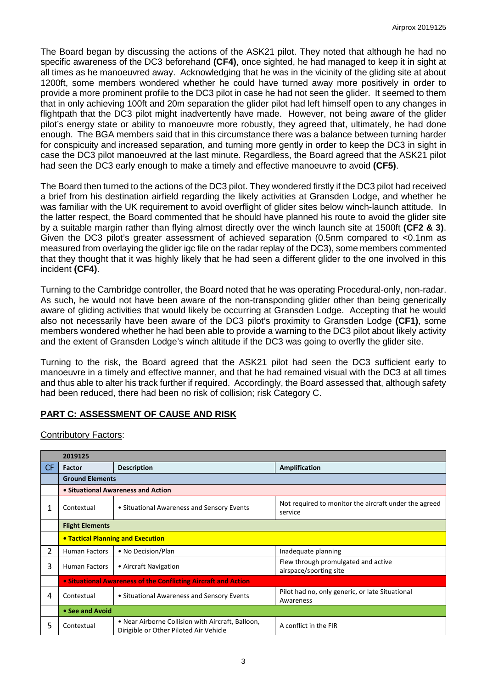The Board began by discussing the actions of the ASK21 pilot. They noted that although he had no specific awareness of the DC3 beforehand **(CF4)**, once sighted, he had managed to keep it in sight at all times as he manoeuvred away. Acknowledging that he was in the vicinity of the gliding site at about 1200ft, some members wondered whether he could have turned away more positively in order to provide a more prominent profile to the DC3 pilot in case he had not seen the glider. It seemed to them that in only achieving 100ft and 20m separation the glider pilot had left himself open to any changes in flightpath that the DC3 pilot might inadvertently have made. However, not being aware of the glider pilot's energy state or ability to manoeuvre more robustly, they agreed that, ultimately, he had done enough. The BGA members said that in this circumstance there was a balance between turning harder for conspicuity and increased separation, and turning more gently in order to keep the DC3 in sight in case the DC3 pilot manoeuvred at the last minute. Regardless, the Board agreed that the ASK21 pilot had seen the DC3 early enough to make a timely and effective manoeuvre to avoid **(CF5)**.

The Board then turned to the actions of the DC3 pilot. They wondered firstly if the DC3 pilot had received a brief from his destination airfield regarding the likely activities at Gransden Lodge, and whether he was familiar with the UK requirement to avoid overflight of glider sites below winch-launch attitude. In the latter respect, the Board commented that he should have planned his route to avoid the glider site by a suitable margin rather than flying almost directly over the winch launch site at 1500ft **(CF2 & 3)**. Given the DC3 pilot's greater assessment of achieved separation (0.5nm compared to <0.1nm as measured from overlaying the glider igc file on the radar replay of the DC3), some members commented that they thought that it was highly likely that he had seen a different glider to the one involved in this incident **(CF4)**.

Turning to the Cambridge controller, the Board noted that he was operating Procedural-only, non-radar. As such, he would not have been aware of the non-transponding glider other than being generically aware of gliding activities that would likely be occurring at Gransden Lodge. Accepting that he would also not necessarily have been aware of the DC3 pilot's proximity to Gransden Lodge **(CF1)**, some members wondered whether he had been able to provide a warning to the DC3 pilot about likely activity and the extent of Gransden Lodge's winch altitude if the DC3 was going to overfly the glider site.

Turning to the risk, the Board agreed that the ASK21 pilot had seen the DC3 sufficient early to manoeuvre in a timely and effective manner, and that he had remained visual with the DC3 at all times and thus able to alter his track further if required. Accordingly, the Board assessed that, although safety had been reduced, there had been no risk of collision; risk Category C.

# **PART C: ASSESSMENT OF CAUSE AND RISK**

Contributory Factors:

|                | 2019125                                                        |                                                                                             |                                                                  |  |  |  |  |  |  |  |
|----------------|----------------------------------------------------------------|---------------------------------------------------------------------------------------------|------------------------------------------------------------------|--|--|--|--|--|--|--|
| CF.            | Factor                                                         | <b>Description</b>                                                                          | Amplification                                                    |  |  |  |  |  |  |  |
|                | <b>Ground Elements</b>                                         |                                                                                             |                                                                  |  |  |  |  |  |  |  |
|                | • Situational Awareness and Action                             |                                                                                             |                                                                  |  |  |  |  |  |  |  |
| 1              | Contextual                                                     | • Situational Awareness and Sensory Events                                                  | Not required to monitor the aircraft under the agreed<br>service |  |  |  |  |  |  |  |
|                | <b>Flight Elements</b>                                         |                                                                                             |                                                                  |  |  |  |  |  |  |  |
|                | • Tactical Planning and Execution                              |                                                                                             |                                                                  |  |  |  |  |  |  |  |
| $\overline{2}$ | <b>Human Factors</b>                                           | • No Decision/Plan                                                                          | Inadequate planning                                              |  |  |  |  |  |  |  |
| 3              | <b>Human Factors</b>                                           | • Aircraft Navigation                                                                       | Flew through promulgated and active<br>airspace/sporting site    |  |  |  |  |  |  |  |
|                | • Situational Awareness of the Conflicting Aircraft and Action |                                                                                             |                                                                  |  |  |  |  |  |  |  |
| 4              | Contextual                                                     | • Situational Awareness and Sensory Events                                                  | Pilot had no, only generic, or late Situational<br>Awareness     |  |  |  |  |  |  |  |
|                | • See and Avoid                                                |                                                                                             |                                                                  |  |  |  |  |  |  |  |
| 5              | Contextual                                                     | • Near Airborne Collision with Aircraft, Balloon,<br>Dirigible or Other Piloted Air Vehicle | A conflict in the FIR                                            |  |  |  |  |  |  |  |